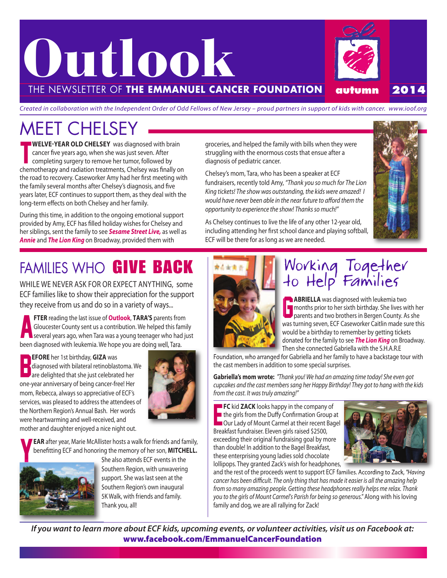

Created in collaboration with the Independent Order of Odd Fellows of New Jersey – proud partners in support of kids with cancer. www.ioof.org

### MEET CHELSEY

T **WELVE-YEAR OLD CHELSEY** was diagnosed with brain cancer five years ago, when she was just seven. After completing surgery to remove her tumor, followed by chemotherapy and radiation treatments, Chelsey was finally on the road to recovery. Caseworker Amy had her first meeting with the family several months after Chelsey's diagnosis, and five years later, ECF continues to support them, as they deal with the long-term effects on both Chelsey and her family.

During this time, in addition to the ongoing emotional support provided by Amy, ECF has filled holiday wishes for Chelsey and her siblings, sent the family to see *Sesame Street Live,* as well as *Annie* and *The Lion King* on Broadway, provided them with

### FAMILIES WHO **GIVE BACK**

WHILE WE NEVER ASK FOR OR EXPECT ANYTHING, some ECF families like to show their appreciation for the support they receive from us and do so in a variety of ways...

**FTER** reading the last issue of **Outlook, TARA'S** parents from<br>Gloucester County sent us a contribution. We helped this family<br>several years ago, when Tara was a young teenager who had just **FTER** reading the last issue of **Outlook**, **TARA'S** parents from Gloucester County sent us a contribution. We helped this family been diagnosed with leukemia. We hope you are doing well, Tara.

B **EFORE** her 1st birthday, **GIZA** was diagnosed with bilateral retinoblastoma. We are delighted that she just celebrated her one-year anniversary of being cancer-free! Her mom, Rebecca, always so appreciative of ECF's services, was pleased to address the attendees of the Northern Region's Annual Bash. Her words were heartwarming and well-received, and mother and daughter enjoyed a nice night out.



**EAR** after year, Marie McAllister hosts a walk for friends and family, benefitting ECF and honoring the memory of her son, **MITCHELL.**



She also attends ECF events in the Southern Region, with unwavering support. She was last seen at the Southern Region's own inaugural 5K Walk, with friends and family. Thank you, all!

groceries, and helped the family with bills when they were struggling with the enormous costs that ensue after a diagnosis of pediatric cancer.

Chelsey's mom, Tara, who has been a speaker at ECF fundraisers, recently told Amy, "Thank you so much for The Lion King tickets! The show was outstanding, the kids were amazed! I would have never been able in the near future to afford them the opportunity to experience the show! Thanks so much!"

As Chelsey continues to live the life of any other 12-year old, including attending her first school dance and playing softball, ECF will be there for as long as we are needed.





#### Working Together to Help' Families

**ABRIELLA** was diagnosed with leukemia two<br>months prior to her sixth birthday. She lives w<br>parents and two brothers in Bergen County. A months prior to her sixth birthday. She lives with her parents and two brothers in Bergen County. As she was turning seven, ECF Caseworker Caitlin made sure this would be a birthday to remember by getting tickets donated for the family to see *The Lion King* on Broadway. Then she connected Gabriella with the S.H.A.R.E

Foundation, who arranged for Gabriella and her family to have a backstage tour with the cast members in addition to some special surprises.

**Gabriella's mom wrote:** "Thank you! We had an amazing time today! She even got cupcakes and the cast members sang her Happy Birthday! They got to hang with the kids from the cast. It was truly amazing!"

E **FC** kid ZACK looks happy in the company of the girls from the Duffy Confirmation Group at Our Lady of Mount Carmel at their recent Bagel Breakfast fundraiser. Eleven girls raised \$2500, exceeding their original fundraising goal by more than double! In addition to the Bagel Breakfast, these enterprising young ladies sold chocolate lollipops. They granted Zack's wish for headphones,



and the rest of the proceeds went to support ECF families. According to Zack, "Having cancer has been difficult. The only thing that has made it easier is all the amazing help from so many amazing people. Getting these headphones really helps me relax. Thank you to the girls of Mount Carmel's Parish for being so generous." Along with his loving family and dog, we are all rallying for Zack!

If you want to learn more about ECF kids, upcoming events, or volunteer activities, visit us on Facebook at: **www.facebook.com/EmmanuelCancerFoundation**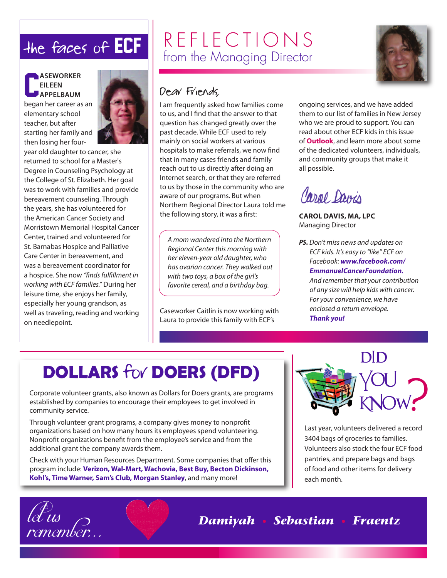#### C **ASEWORKER EILEEN APPELBAUM**

began her career as an elementary school teacher, but after starting her family and then losing her four-



year old daughter to cancer, she returned to school for a Master's Degree in Counseling Psychology at the College of St. Elizabeth. Her goal was to work with families and provide bereavement counseling. Through the years, she has volunteered for the American Cancer Society and Morristown Memorial Hospital Cancer Center, trained and volunteered for St. Barnabas Hospice and Palliative Care Center in bereavement, and was a bereavement coordinator for a hospice. She now "finds fulfillment in working with ECF families." During her leisure time, she enjoys her family, especially her young grandson, as well as traveling, reading and working on needlepoint.

lel<sup>e</sup>us<br>remember.

### the faces of ECF  $\left| \begin{array}{c} R \to F \end{array} \right| E \to C \top 1 \cap N S$ from the Managing Director

#### Dear Friends,

I am frequently asked how families come to us, and I find that the answer to that question has changed greatly over the past decade. While ECF used to rely mainly on social workers at various hospitals to make referrals, we now find that in many cases friends and family reach out to us directly after doing an Internet search, or that they are referred to us by those in the community who are aware of our programs. But when Northern Regional Director Laura told me the following story, it was a first:

A mom wandered into the Northern Regional Center this morning with her eleven-year old daughter, who has ovarian cancer. They walked out with two toys, a box of the girl's favorite cereal, and a birthday bag.

Caseworker Caitlin is now working with Laura to provide this family with ECF's

ongoing services, and we have added them to our list of families in New Jersey who we are proud to support. You can read about other ECF kids in this issue of **Outlook**, and learn more about some of the dedicated volunteers, individuals, and community groups that make it all possible.

## Caral Davis

**CAROL DAVIS, MA, LPC** Managing Director

*PS.* Don't miss news and updates on ECF kids. It's easy to "like" ECF on Facebook: *www.facebook.com/ EmmanuelCancerFoundation.* And remember that your contribution of any size will help kids with cancer. For your convenience, we have enclosed a return envelope. *Thank you!*

### **DOLLARS** for **DOERS (DFD)**

Corporate volunteer grants, also known as Dollars for Doers grants, are programs established by companies to encourage their employees to get involved in community service.

Through volunteer grant programs, a company gives money to nonprofit organizations based on how many hours its employees spend volunteering. Nonprofit organizations benefit from the employee's service and from the additional grant the company awards them.

Check with your Human Resources Department. Some companies that offer this program include: **Verizon, Wal-Mart, Wachovia, Best Buy, Becton Dickinson, Kohl's, Time Warner, Sam's Club, Morgan Stanley**, and many more!



Last year, volunteers delivered a record 3404 bags of groceries to families. Volunteers also stock the four ECF food pantries, and prepare bags and bags of food and other items for delivery each month.

remember. . . *Damiyah • Sebastian • Fraentz*

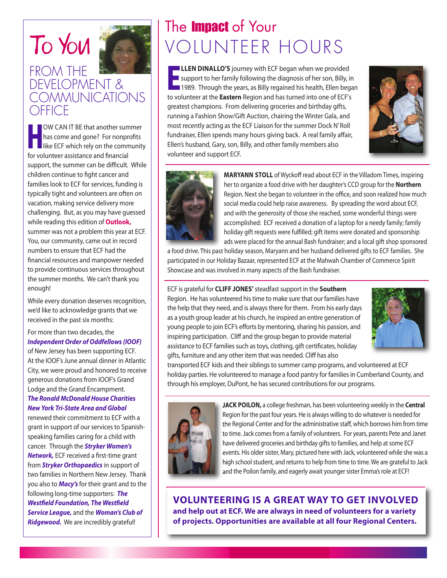#### To You FROM THE DEVELOPMENT & **COMMUNICATIONS OFFICE**

H **OW CAN IT BE that another summer** has come and gone? For nonprofits like ECF which rely on the community for volunteer assistance and financial support, the summer can be difficult. While children continue to fight cancer and families look to ECF for services, funding is typically tight and volunteers are often on vacation, making service delivery more challenging. But, as you may have guessed while reading this edition of **Outlook,** summer was not a problem this year at ECF. You, our community, came out in record numbers to ensure that ECF had the financial resources and manpower needed to provide continuous services throughout the summer months. We can't thank you enough!

While every donation deserves recognition, we'd like to acknowledge grants that we received in the past six months:

For more than two decades, the *Independent Order of Oddfellows (IOOF)*

of New Jersey has been supporting ECF. At the IOOF's June annual dinner in Atlantic City, we were proud and honored to receive generous donations from IOOF's Grand Lodge and the Grand Encampment.

#### *The Ronald McDonald House Charities New York Tri-State Area and Global*

renewed their commitment to ECF with a grant in support of our services to Spanishspeaking families caring for a child with cancer. Through the *Stryker Women's Network,* ECF received a first-time grant from *Stryker Orthopaedics* in support of two families in Northern New Jersey. Thank you also to *Macy's* for their grant and to the following long-time supporters: *The Westfield Foundation, The Westfield Service League,* and the *Woman's Club of Ridgewood.* We are incredibly grateful!

### The **Impact** of Your VOLUNTEER HOURS

**ELLEN DINALLO'S** journey with ECF began when we provided<br>support to her family following the diagnosis of her son, Billy, in<br>1989. Through the years, as Billy regained his health, Ellen began **LLEN DINALLO'S** journey with ECF began when we provided support to her family following the diagnosis of her son, Billy, in to volunteer at the **Eastern** Region and has turned into one of ECF's greatest champions. From delivering groceries and birthday gifts, running a Fashion Show/Gift Auction, chairing the Winter Gala, and most recently acting as the ECF Liaison for the summer Dock N'Roll fundraiser, Ellen spends many hours giving back. A real family affair, Ellen's husband, Gary, son, Billy, and other family members also volunteer and support ECF.





**MARYANN STOLL** of Wyckoff read about ECF in the Villadom Times, inspiring her to organize a food drive with her daughter's CCD group for the **Northern** Region. Next she began to volunteer in the office, and soon realized how much social media could help raise awareness. By spreading the word about ECF, and with the generosity of those she reached, some wonderful things were accomplished: ECF received a donation of a laptop for a needy family; family holiday gift requests were fulfilled; gift items were donated and sponsorship ads were placed for the annual Bash fundraiser; and a local gift shop sponsored

a food drive. This past holiday season, Maryann and her husband delivered gifts to ECF families. She participated in our Holiday Bazaar, represented ECF at the Mahwah Chamber of Commerce Spirit Showcase and was involved in many aspects of the Bash fundraiser.

#### ECF is grateful for **CLIFF JONES'**steadfastsupport in the **Southern** Region. He has volunteered his time to make sure that our families have the help that they need, and is alwaysthere for them. From his early days as a youth group leader at his church, he inspired an entire generation of young people to join ECF's efforts by mentoring, sharing his passion, and inspiring participation. Cliff and the group began to provide material assistance to ECF families such as toys, clothing, gift certificates, holiday gifts, furniture and any other item that was needed. Cliff has also



transported ECF kids and their siblings to summer camp programs, and volunteered at ECF holiday parties. He volunteered to manage a food pantry for families in Cumberland County, and through his employer, DuPont, he has secured contributions for our programs.



**JACK POILON,** a college freshman, has been volunteering weekly in the **Central** Region for the past four years. He is always willing to do whatever is needed for the Regional Center and for the administrative staff, which borrows him from time to time. Jack comes from a family of volunteers. For years, parents Pete and Janet have delivered groceries and birthday gifts to families, and help at some ECF events. His older sister, Mary, pictured here with Jack, volunteered while she was a high school student, and returns to help from time to time. We are grateful to Jack and the Poilon family, and eagerly await younger sister Emma's role at ECF!

**VOLUNTEERING IS A GREAT WAY TO GET INVOLVED and help out at ECF. We are always in need of volunteers for a variety of projects. Opportunities are available at all four Regional Centers.**